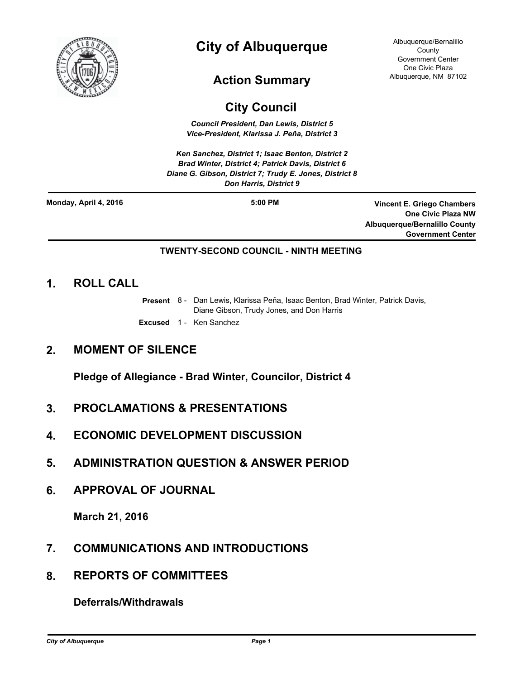

# **City of Albuquerque**

## **Action Summary**

#### Albuquerque/Bernalillo County Government Center One Civic Plaza Albuquerque, NM 87102

## **City Council**

*Council President, Dan Lewis, District 5 Vice-President, Klarissa J. Peña, District 3*

*Ken Sanchez, District 1; Isaac Benton, District 2 Brad Winter, District 4; Patrick Davis, District 6 Diane G. Gibson, District 7; Trudy E. Jones, District 8 Don Harris, District 9*

**Monday, April 4, 2016**

**5:00 PM Vincent E. Griego Chambers One Civic Plaza NW Albuquerque/Bernalillo County Government Center**

#### **TWENTY-SECOND COUNCIL - NINTH MEETING**

### **1. ROLL CALL**

- Present 8 Dan Lewis, Klarissa Peña, Isaac Benton, Brad Winter, Patrick Davis, Diane Gibson, Trudy Jones, and Don Harris
- **Excused** 1 Ken Sanchez

### **2. MOMENT OF SILENCE**

**Pledge of Allegiance - Brad Winter, Councilor, District 4**

- **3. PROCLAMATIONS & PRESENTATIONS**
- **4. ECONOMIC DEVELOPMENT DISCUSSION**
- **5. ADMINISTRATION QUESTION & ANSWER PERIOD**
- **6. APPROVAL OF JOURNAL**

**March 21, 2016**

- **7. COMMUNICATIONS AND INTRODUCTIONS**
- **8. REPORTS OF COMMITTEES**

**Deferrals/Withdrawals**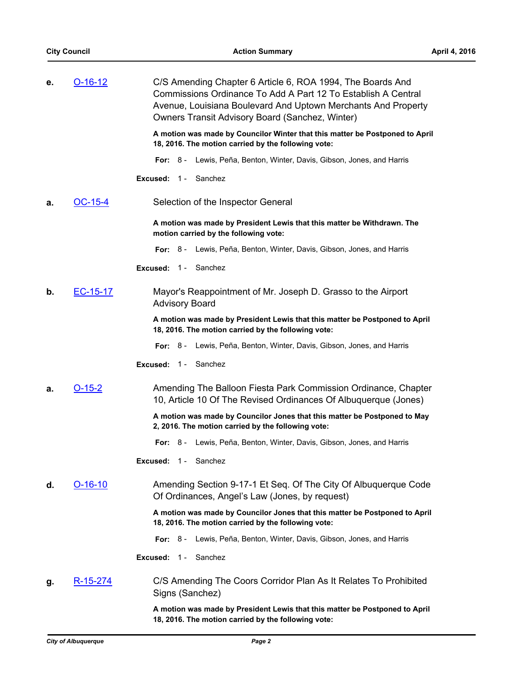| е. | $O-16-12$       | C/S Amending Chapter 6 Article 6, ROA 1994, The Boards And<br>Commissions Ordinance To Add A Part 12 To Establish A Central<br>Avenue, Louisiana Boulevard And Uptown Merchants And Property<br>Owners Transit Advisory Board (Sanchez, Winter) |
|----|-----------------|-------------------------------------------------------------------------------------------------------------------------------------------------------------------------------------------------------------------------------------------------|
|    |                 | A motion was made by Councilor Winter that this matter be Postponed to April<br>18, 2016. The motion carried by the following vote:                                                                                                             |
|    |                 | Lewis, Peña, Benton, Winter, Davis, Gibson, Jones, and Harris<br>For: $8-$                                                                                                                                                                      |
|    |                 | Sanchez<br>Excused: $1 -$                                                                                                                                                                                                                       |
| a. | OC-15-4         | Selection of the Inspector General                                                                                                                                                                                                              |
|    |                 | A motion was made by President Lewis that this matter be Withdrawn. The<br>motion carried by the following vote:                                                                                                                                |
|    |                 | For: 8 - Lewis, Peña, Benton, Winter, Davis, Gibson, Jones, and Harris                                                                                                                                                                          |
|    |                 | Excused: 1 - Sanchez                                                                                                                                                                                                                            |
| b. | EC-15-17        | Mayor's Reappointment of Mr. Joseph D. Grasso to the Airport<br><b>Advisory Board</b>                                                                                                                                                           |
|    |                 | A motion was made by President Lewis that this matter be Postponed to April<br>18, 2016. The motion carried by the following vote:                                                                                                              |
|    |                 | Lewis, Peña, Benton, Winter, Davis, Gibson, Jones, and Harris<br>For: $8-$                                                                                                                                                                      |
|    |                 | Sanchez<br>Excused: $1 -$                                                                                                                                                                                                                       |
| а. | <u>O-15-2</u>   | Amending The Balloon Fiesta Park Commission Ordinance, Chapter<br>10, Article 10 Of The Revised Ordinances Of Albuquerque (Jones)                                                                                                               |
|    |                 | A motion was made by Councilor Jones that this matter be Postponed to May<br>2, 2016. The motion carried by the following vote:                                                                                                                 |
|    |                 | For: 8 - Lewis, Peña, Benton, Winter, Davis, Gibson, Jones, and Harris                                                                                                                                                                          |
|    |                 | Excused: 1 - Sanchez                                                                                                                                                                                                                            |
| d. | $O-16-10$       | Amending Section 9-17-1 Et Seq. Of The City Of Albuquerque Code<br>Of Ordinances, Angel's Law (Jones, by request)                                                                                                                               |
|    |                 | A motion was made by Councilor Jones that this matter be Postponed to April<br>18, 2016. The motion carried by the following vote:                                                                                                              |
|    |                 | Lewis, Peña, Benton, Winter, Davis, Gibson, Jones, and Harris<br>For: $8-$                                                                                                                                                                      |
|    |                 | Sanchez<br>Excused:<br>$1 -$                                                                                                                                                                                                                    |
| g. | <u>R-15-274</u> | C/S Amending The Coors Corridor Plan As It Relates To Prohibited<br>Signs (Sanchez)                                                                                                                                                             |

**A motion was made by President Lewis that this matter be Postponed to April 18, 2016. The motion carried by the following vote:**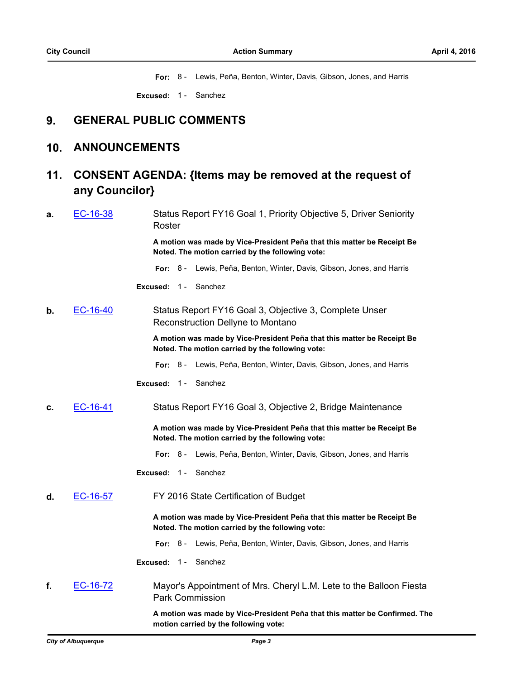**For:** 8 - Lewis, Peña, Benton, Winter, Davis, Gibson, Jones, and Harris

**Excused:** 1 - Sanchez

## **9. GENERAL PUBLIC COMMENTS**

#### **10. ANNOUNCEMENTS**

#### **CONSENT AGENDA: {Items may be removed at the request of any Councilor} 11.**

**a.** [EC-16-38](http://cabq.legistar.com/gateway.aspx?m=l&id=/matter.aspx?key=10031) Status Report FY16 Goal 1, Priority Objective 5, Driver Seniority Roster

> **A motion was made by Vice-President Peña that this matter be Receipt Be Noted. The motion carried by the following vote:**

**For:** 8 - Lewis, Peña, Benton, Winter, Davis, Gibson, Jones, and Harris

**Excused:** 1 - Sanchez

**b.** [EC-16-40](http://cabq.legistar.com/gateway.aspx?m=l&id=/matter.aspx?key=10033) Status Report FY16 Goal 3, Objective 3, Complete Unser Reconstruction Dellyne to Montano

> **A motion was made by Vice-President Peña that this matter be Receipt Be Noted. The motion carried by the following vote:**

**For:** 8 - Lewis, Peña, Benton, Winter, Davis, Gibson, Jones, and Harris

**Excused:** 1 - Sanchez

**c.** [EC-16-41](http://cabq.legistar.com/gateway.aspx?m=l&id=/matter.aspx?key=10034) Status Report FY16 Goal 3, Objective 2, Bridge Maintenance

**A motion was made by Vice-President Peña that this matter be Receipt Be Noted. The motion carried by the following vote:**

**For:** 8 - Lewis, Peña, Benton, Winter, Davis, Gibson, Jones, and Harris

**Excused:** 1 - Sanchez

**d.** [EC-16-57](http://cabq.legistar.com/gateway.aspx?m=l&id=/matter.aspx?key=10063) FY 2016 State Certification of Budget

**A motion was made by Vice-President Peña that this matter be Receipt Be Noted. The motion carried by the following vote:**

**For:** 8 - Lewis, Peña, Benton, Winter, Davis, Gibson, Jones, and Harris

**Excused:** 1 - Sanchez

**f.** [EC-16-72](http://cabq.legistar.com/gateway.aspx?m=l&id=/matter.aspx?key=10095) Mayor's Appointment of Mrs. Cheryl L.M. Lete to the Balloon Fiesta Park Commission

> **A motion was made by Vice-President Peña that this matter be Confirmed. The motion carried by the following vote:**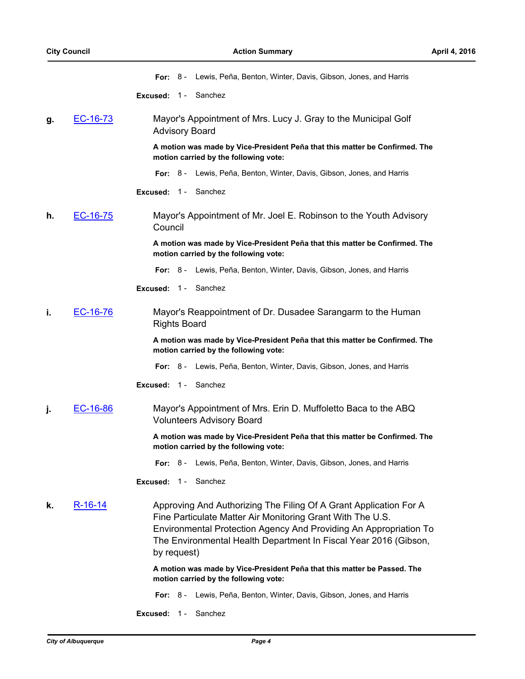**For:** 8 - Lewis, Peña, Benton, Winter, Davis, Gibson, Jones, and Harris

**Excused:** 1 - Sanchez

**g.** [EC-16-73](http://cabq.legistar.com/gateway.aspx?m=l&id=/matter.aspx?key=10096) Mayor's Appointment of Mrs. Lucy J. Gray to the Municipal Golf Advisory Board

> **A motion was made by Vice-President Peña that this matter be Confirmed. The motion carried by the following vote:**

- **For:** 8 Lewis, Peña, Benton, Winter, Davis, Gibson, Jones, and Harris
- **Excused:** 1 Sanchez
- **h.** [EC-16-75](http://cabq.legistar.com/gateway.aspx?m=l&id=/matter.aspx?key=10100) Mayor's Appointment of Mr. Joel E. Robinson to the Youth Advisory Council

**A motion was made by Vice-President Peña that this matter be Confirmed. The motion carried by the following vote:**

- **For:** 8 Lewis, Peña, Benton, Winter, Davis, Gibson, Jones, and Harris
- **Excused:** 1 Sanchez
- **i.** [EC-16-76](http://cabq.legistar.com/gateway.aspx?m=l&id=/matter.aspx?key=10101) Mayor's Reappointment of Dr. Dusadee Sarangarm to the Human Rights Board

**A motion was made by Vice-President Peña that this matter be Confirmed. The motion carried by the following vote:**

**For:** 8 - Lewis, Peña, Benton, Winter, Davis, Gibson, Jones, and Harris

**Excused:** 1 - Sanchez

**j.** [EC-16-86](http://cabq.legistar.com/gateway.aspx?m=l&id=/matter.aspx?key=10115) Mayor's Appointment of Mrs. Erin D. Muffoletto Baca to the ABQ Volunteers Advisory Board

> **A motion was made by Vice-President Peña that this matter be Confirmed. The motion carried by the following vote:**

- **For:** 8 Lewis, Peña, Benton, Winter, Davis, Gibson, Jones, and Harris
- **Excused:** 1 Sanchez
- **k.** [R-16-14](http://cabq.legistar.com/gateway.aspx?m=l&id=/matter.aspx?key=10050) Approving And Authorizing The Filing Of A Grant Application For A Fine Particulate Matter Air Monitoring Grant With The U.S. Environmental Protection Agency And Providing An Appropriation To The Environmental Health Department In Fiscal Year 2016 (Gibson, by request)

**A motion was made by Vice-President Peña that this matter be Passed. The motion carried by the following vote:**

- **For:** 8 Lewis, Peña, Benton, Winter, Davis, Gibson, Jones, and Harris
- **Excused:** 1 Sanchez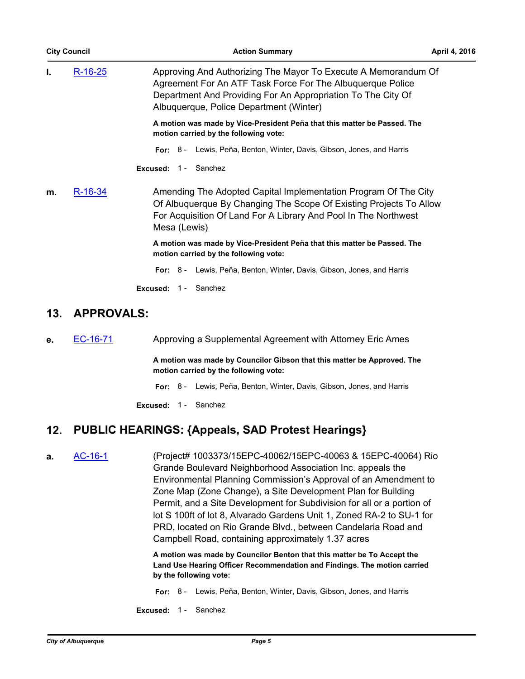| <b>City Council</b> |                                                           | <b>Action Summary</b>                                                                                                                                                                                                    | <b>April 4, 2016</b> |
|---------------------|-----------------------------------------------------------|--------------------------------------------------------------------------------------------------------------------------------------------------------------------------------------------------------------------------|----------------------|
| I.                  | <u>R-16-25</u><br>Albuquerque, Police Department (Winter) | Approving And Authorizing The Mayor To Execute A Memorandum Of<br>Agreement For An ATF Task Force For The Albuquerque Police<br>Department And Providing For An Appropriation To The City Of                             |                      |
|                     |                                                           | A motion was made by Vice-President Peña that this matter be Passed. The<br>motion carried by the following vote:                                                                                                        |                      |
|                     |                                                           | <b>For:</b> 8 - Lewis, Peña, Benton, Winter, Davis, Gibson, Jones, and Harris<br><b>Excused: 1 - Sanchez</b>                                                                                                             |                      |
| m.                  | $R-16-34$                                                 | Amending The Adopted Capital Implementation Program Of The City<br>Of Albuquerque By Changing The Scope Of Existing Projects To Allow<br>For Acquisition Of Land For A Library And Pool In The Northwest<br>Mesa (Lewis) |                      |
|                     |                                                           | A motion was made by Vice-President Peña that this matter be Passed. The<br>motion carried by the following vote:                                                                                                        |                      |
|                     |                                                           | <b>For:</b> 8 - Lewis, Peña, Benton, Winter, Davis, Gibson, Jones, and Harris                                                                                                                                            |                      |
|                     |                                                           | Sanchez<br>Excused:<br>$1 -$                                                                                                                                                                                             |                      |

### **13. APPROVALS:**

**e.** [EC-16-71](http://cabq.legistar.com/gateway.aspx?m=l&id=/matter.aspx?key=10094) Approving a Supplemental Agreement with Attorney Eric Ames

**A motion was made by Councilor Gibson that this matter be Approved. The motion carried by the following vote:**

**For:** 8 - Lewis, Peña, Benton, Winter, Davis, Gibson, Jones, and Harris

**Excused:** 1 - Sanchez

## **12. PUBLIC HEARINGS: {Appeals, SAD Protest Hearings}**

**a.** [AC-16-1](http://cabq.legistar.com/gateway.aspx?m=l&id=/matter.aspx?key=10019) (Project# 1003373/15EPC-40062/15EPC-40063 & 15EPC-40064) Rio Grande Boulevard Neighborhood Association Inc. appeals the Environmental Planning Commission's Approval of an Amendment to Zone Map (Zone Change), a Site Development Plan for Building Permit, and a Site Development for Subdivision for all or a portion of lot S 100ft of lot 8, Alvarado Gardens Unit 1, Zoned RA-2 to SU-1 for PRD, located on Rio Grande Blvd., between Candelaria Road and Campbell Road, containing approximately 1.37 acres

> **A motion was made by Councilor Benton that this matter be To Accept the Land Use Hearing Officer Recommendation and Findings. The motion carried by the following vote:**

- **For:** 8 Lewis, Peña, Benton, Winter, Davis, Gibson, Jones, and Harris
- **Excused:** 1 Sanchez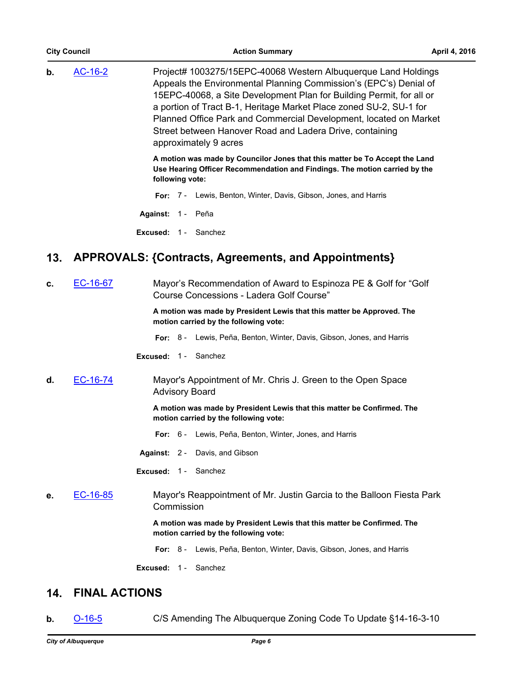| <b>City Council</b> |                      | <b>Action Summary</b>                                                                                                                                                                                                                                                                                                                                                                                                                       | April 4, 2016 |
|---------------------|----------------------|---------------------------------------------------------------------------------------------------------------------------------------------------------------------------------------------------------------------------------------------------------------------------------------------------------------------------------------------------------------------------------------------------------------------------------------------|---------------|
| b.                  | AC-16-2              | Project# 1003275/15EPC-40068 Western Albuquerque Land Holdings<br>Appeals the Environmental Planning Commission's (EPC's) Denial of<br>15EPC-40068, a Site Development Plan for Building Permit, for all or<br>a portion of Tract B-1, Heritage Market Place zoned SU-2, SU-1 for<br>Planned Office Park and Commercial Development, located on Market<br>Street between Hanover Road and Ladera Drive, containing<br>approximately 9 acres |               |
|                     |                      | A motion was made by Councilor Jones that this matter be To Accept the Land<br>Use Hearing Officer Recommendation and Findings. The motion carried by the<br>following vote:                                                                                                                                                                                                                                                                |               |
|                     |                      | Lewis, Benton, Winter, Davis, Gibson, Jones, and Harris<br>For:<br>$7 -$                                                                                                                                                                                                                                                                                                                                                                    |               |
|                     |                      | Against: 1 - Peña                                                                                                                                                                                                                                                                                                                                                                                                                           |               |
|                     |                      | <b>Excused: 1 - Sanchez</b>                                                                                                                                                                                                                                                                                                                                                                                                                 |               |
| 13.                 |                      | APPROVALS: {Contracts, Agreements, and Appointments}                                                                                                                                                                                                                                                                                                                                                                                        |               |
| c.                  | EC-16-67             | Mayor's Recommendation of Award to Espinoza PE & Golf for "Golf<br>Course Concessions - Ladera Golf Course"                                                                                                                                                                                                                                                                                                                                 |               |
|                     |                      | A motion was made by President Lewis that this matter be Approved. The<br>motion carried by the following vote:                                                                                                                                                                                                                                                                                                                             |               |
|                     |                      | For: 8 - Lewis, Peña, Benton, Winter, Davis, Gibson, Jones, and Harris                                                                                                                                                                                                                                                                                                                                                                      |               |
|                     |                      | Sanchez<br>Excused: $1 -$                                                                                                                                                                                                                                                                                                                                                                                                                   |               |
| d.                  | EC-16-74             | Mayor's Appointment of Mr. Chris J. Green to the Open Space<br><b>Advisory Board</b>                                                                                                                                                                                                                                                                                                                                                        |               |
|                     |                      | A motion was made by President Lewis that this matter be Confirmed. The<br>motion carried by the following vote:                                                                                                                                                                                                                                                                                                                            |               |
|                     |                      | For: 6 - Lewis, Peña, Benton, Winter, Jones, and Harris                                                                                                                                                                                                                                                                                                                                                                                     |               |
|                     |                      | Against: 2 - Davis, and Gibson                                                                                                                                                                                                                                                                                                                                                                                                              |               |
|                     |                      | Excused: 1 - Sanchez                                                                                                                                                                                                                                                                                                                                                                                                                        |               |
| е.                  | EC-16-85             | Mayor's Reappointment of Mr. Justin Garcia to the Balloon Fiesta Park<br>Commission                                                                                                                                                                                                                                                                                                                                                         |               |
|                     |                      | A motion was made by President Lewis that this matter be Confirmed. The<br>motion carried by the following vote:                                                                                                                                                                                                                                                                                                                            |               |
|                     |                      | Lewis, Peña, Benton, Winter, Davis, Gibson, Jones, and Harris<br>For: $8-$                                                                                                                                                                                                                                                                                                                                                                  |               |
|                     |                      | Excused: 1 - Sanchez                                                                                                                                                                                                                                                                                                                                                                                                                        |               |
| 14.                 | <b>FINAL ACTIONS</b> |                                                                                                                                                                                                                                                                                                                                                                                                                                             |               |

**b. [O-16-5](http://cabq.legistar.com/gateway.aspx?m=l&id=/matter.aspx?key=10021)** C/S Amending The Albuquerque Zoning Code To Update §14-16-3-10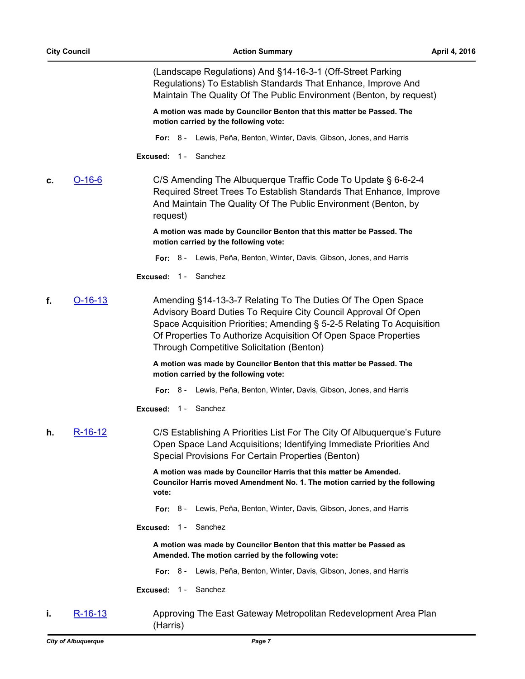(Landscape Regulations) And §14-16-3-1 (Off-Street Parking Regulations) To Establish Standards That Enhance, Improve And Maintain The Quality Of The Public Environment (Benton, by request)

**A motion was made by Councilor Benton that this matter be Passed. The motion carried by the following vote:**

**For:** 8 - Lewis, Peña, Benton, Winter, Davis, Gibson, Jones, and Harris

**Excused:** 1 - Sanchez

**c.** [O-16-6](http://cabq.legistar.com/gateway.aspx?m=l&id=/matter.aspx?key=10022) C/S Amending The Albuquerque Traffic Code To Update § 6-6-2-4 Required Street Trees To Establish Standards That Enhance, Improve And Maintain The Quality Of The Public Environment (Benton, by request)

> **A motion was made by Councilor Benton that this matter be Passed. The motion carried by the following vote:**

**For:** 8 - Lewis, Peña, Benton, Winter, Davis, Gibson, Jones, and Harris

**Excused:** 1 - Sanchez

**f.** [O-16-13](http://cabq.legistar.com/gateway.aspx?m=l&id=/matter.aspx?key=10090) Amending §14-13-3-7 Relating To The Duties Of The Open Space Advisory Board Duties To Require City Council Approval Of Open Space Acquisition Priorities; Amending § 5-2-5 Relating To Acquisition Of Properties To Authorize Acquisition Of Open Space Properties Through Competitive Solicitation (Benton)

> **A motion was made by Councilor Benton that this matter be Passed. The motion carried by the following vote:**

**For:** 8 - Lewis, Peña, Benton, Winter, Davis, Gibson, Jones, and Harris

**Excused:** 1 - Sanchez

**h.** [R-16-12](http://cabq.legistar.com/gateway.aspx?m=l&id=/matter.aspx?key=10029) C/S Establishing A Priorities List For The City Of Albuquerque's Future Open Space Land Acquisitions; Identifying Immediate Priorities And Special Provisions For Certain Properties (Benton)

> **A motion was made by Councilor Harris that this matter be Amended. Councilor Harris moved Amendment No. 1. The motion carried by the following vote:**

**For:** 8 - Lewis, Peña, Benton, Winter, Davis, Gibson, Jones, and Harris

**Excused:** 1 - Sanchez

**A motion was made by Councilor Benton that this matter be Passed as Amended. The motion carried by the following vote:**

- **For:** 8 Lewis, Peña, Benton, Winter, Davis, Gibson, Jones, and Harris
- **Excused:** 1 Sanchez
- **i.** [R-16-13](http://cabq.legistar.com/gateway.aspx?m=l&id=/matter.aspx?key=10049) Approving The East Gateway Metropolitan Redevelopment Area Plan (Harris)